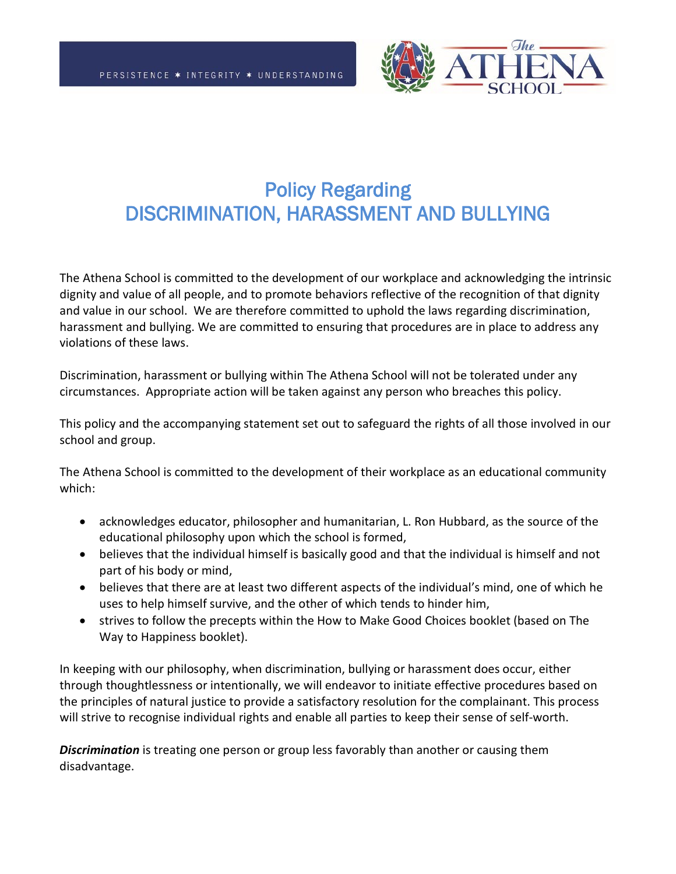

## Policy Regarding DISCRIMINATION, HARASSMENT AND BULLYING

The Athena School is committed to the development of our workplace and acknowledging the intrinsic dignity and value of all people, and to promote behaviors reflective of the recognition of that dignity and value in our school. We are therefore committed to uphold the laws regarding discrimination, harassment and bullying. We are committed to ensuring that procedures are in place to address any violations of these laws.

Discrimination, harassment or bullying within The Athena School will not be tolerated under any circumstances. Appropriate action will be taken against any person who breaches this policy.

This policy and the accompanying statement set out to safeguard the rights of all those involved in our school and group.

The Athena School is committed to the development of their workplace as an educational community which:

- acknowledges educator, philosopher and humanitarian, L. Ron Hubbard, as the source of the educational philosophy upon which the school is formed,
- believes that the individual himself is basically good and that the individual is himself and not part of his body or mind,
- believes that there are at least two different aspects of the individual's mind, one of which he uses to help himself survive, and the other of which tends to hinder him,
- strives to follow the precepts within the How to Make Good Choices booklet (based on The Way to Happiness booklet).

In keeping with our philosophy, when discrimination, bullying or harassment does occur, either through thoughtlessness or intentionally, we will endeavor to initiate effective procedures based on the principles of natural justice to provide a satisfactory resolution for the complainant. This process will strive to recognise individual rights and enable all parties to keep their sense of self-worth.

*Discrimination* is treating one person or group less favorably than another or causing them disadvantage.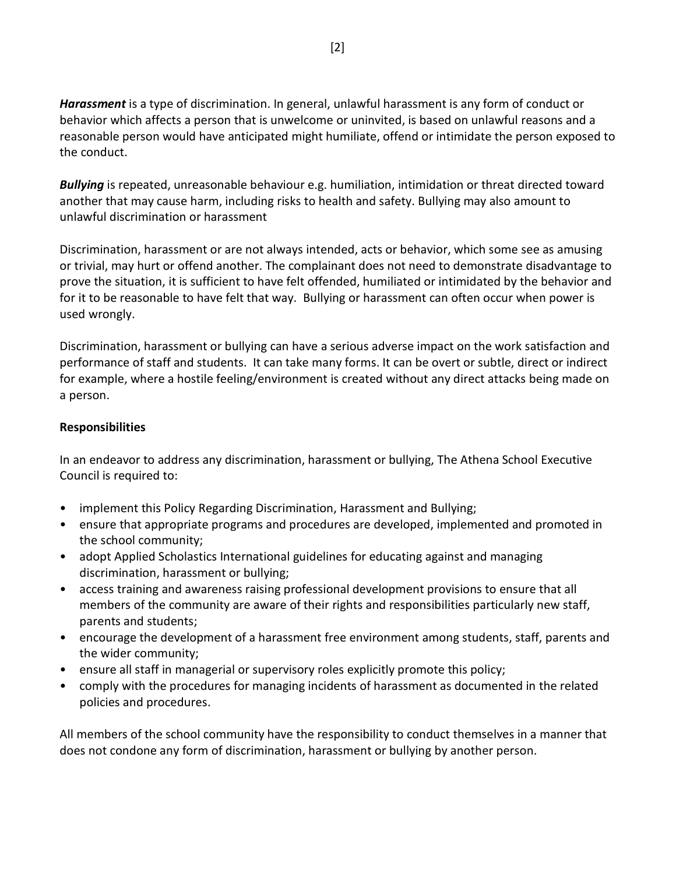*Harassment* is a type of discrimination. In general, unlawful harassment is any form of conduct or behavior which affects a person that is unwelcome or uninvited, is based on unlawful reasons and a reasonable person would have anticipated might humiliate, offend or intimidate the person exposed to the conduct.

*Bullying* is repeated, unreasonable behaviour e.g. humiliation, intimidation or threat directed toward another that may cause harm, including risks to health and safety. Bullying may also amount to unlawful discrimination or harassment

Discrimination, harassment or are not always intended, acts or behavior, which some see as amusing or trivial, may hurt or offend another. The complainant does not need to demonstrate disadvantage to prove the situation, it is sufficient to have felt offended, humiliated or intimidated by the behavior and for it to be reasonable to have felt that way. Bullying or harassment can often occur when power is used wrongly.

Discrimination, harassment or bullying can have a serious adverse impact on the work satisfaction and performance of staff and students. It can take many forms. It can be overt or subtle, direct or indirect for example, where a hostile feeling/environment is created without any direct attacks being made on a person.

## **Responsibilities**

In an endeavor to address any discrimination, harassment or bullying, The Athena School Executive Council is required to:

- implement this Policy Regarding Discrimination, Harassment and Bullying;
- ensure that appropriate programs and procedures are developed, implemented and promoted in the school community;
- adopt Applied Scholastics International guidelines for educating against and managing discrimination, harassment or bullying;
- access training and awareness raising professional development provisions to ensure that all members of the community are aware of their rights and responsibilities particularly new staff, parents and students;
- encourage the development of a harassment free environment among students, staff, parents and the wider community;
- ensure all staff in managerial or supervisory roles explicitly promote this policy;
- comply with the procedures for managing incidents of harassment as documented in the related policies and procedures.

All members of the school community have the responsibility to conduct themselves in a manner that does not condone any form of discrimination, harassment or bullying by another person.